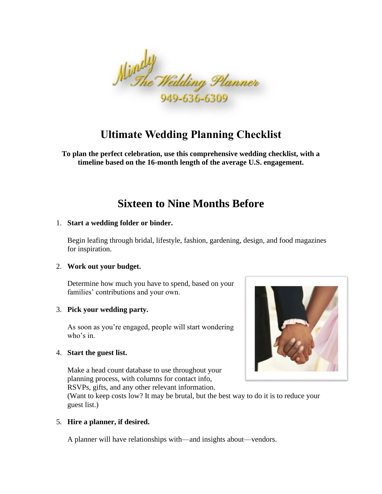

# **Ultimate Wedding Planning Checklist**

**To plan the perfect celebration, use this comprehensive wedding checklist, with a timeline based on the 16-month length of the average U.S. engagement.**

## **Sixteen to Nine Months Before**

## 1. **Start a wedding folder or binder.**

Begin leafing through bridal, lifestyle, fashion, gardening, design, and food magazines for inspiration.

## 2. **Work out your budget.**

Determine how much you have to spend, based on your families' contributions and your own.

## 3. **Pick your wedding party.**

As soon as you're engaged, people will start wondering who's in.

## 4. **Start the guest list.**

Make a head count database to use throughout your planning process, with columns for contact info, RSVPs, gifts, and any other relevant information.



(Want to keep costs low? It may be brutal, but the best way to do it is to reduce your guest list.)

## 5. **Hire a planner, if desired.**

A planner will have relationships with—and insights about—vendors.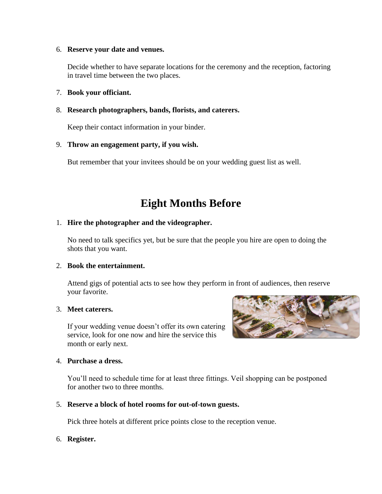#### 6. **Reserve your date and venues.**

Decide whether to have separate locations for the ceremony and the reception, factoring in travel time between the two places.

## 7. **Book your officiant.**

## 8. **Research photographers, bands, florists, and caterers.**

Keep their contact information in your binder.

## 9. **Throw an engagement party, if you wish.**

But remember that your invitees should be on your wedding guest list as well.

# **Eight Months Before**

## 1. **Hire the photographer and the videographer.**

No need to talk specifics yet, but be sure that the people you hire are open to doing the shots that you want.

## 2. **Book the entertainment.**

Attend gigs of potential acts to see how they perform in front of audiences, then reserve your favorite.

## 3. **Meet caterers.**

If your wedding venue doesn't offer its own catering service, look for one now and hire the service this month or early next.

#### 4. **Purchase a dress.**

You'll need to schedule time for at least three fittings. Veil shopping can be postponed for another two to three months.

## 5. **Reserve a block of hotel rooms for out-of-town guests.**

Pick three hotels at different price points close to the reception venue.

## 6. **Register.**

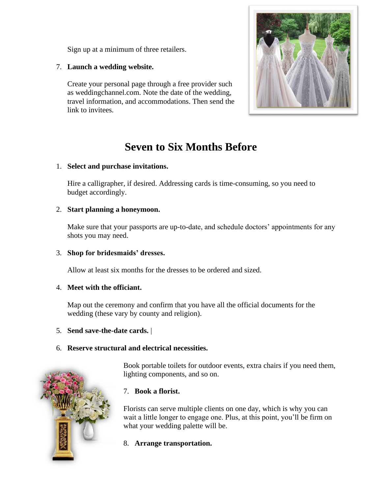Sign up at a minimum of three retailers.

7. **Launch a wedding website.** 

Create your personal page through a free provider such as weddingchannel.com. Note the date of the wedding, travel information, and accommodations. Then send the link to invitees.



# **Seven to Six Months Before**

## 1. **Select and purchase invitations.**

Hire a calligrapher, if desired. Addressing cards is time-consuming, so you need to budget accordingly.

## 2. **Start planning a honeymoon.**

Make sure that your passports are up-to-date, and schedule doctors' appointments for any shots you may need.

## 3. **Shop for bridesmaids' dresses.**

Allow at least six months for the dresses to be ordered and sized.

## 4. **Meet with the officiant.**

Map out the ceremony and confirm that you have all the official documents for the wedding (these vary by county and religion).

## 5. **Send save-the-date cards.** |

## 6. **Reserve structural and electrical necessities.**



Book portable toilets for outdoor events, extra chairs if you need them, lighting components, and so on.

## 7. **Book a florist.**

Florists can serve multiple clients on one day, which is why you can wait a little longer to engage one. Plus, at this point, you'll be firm on what your wedding palette will be.

8. **Arrange transportation.**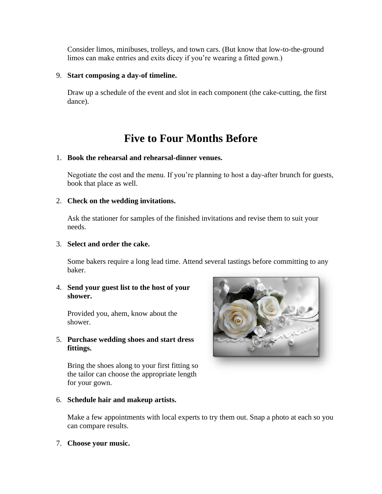Consider limos, minibuses, trolleys, and town cars. (But know that low-to-the-ground limos can make entries and exits dicey if you're wearing a fitted gown.)

#### 9. **Start composing a day-of timeline.**

Draw up a schedule of the event and slot in each component (the cake-cutting, the first dance).

## **Five to Four Months Before**

#### 1. **Book the rehearsal and rehearsal-dinner venues.**

Negotiate the cost and the menu. If you're planning to host a day-after brunch for guests, book that place as well.

## 2. **Check on the wedding invitations.**

Ask the stationer for samples of the finished invitations and revise them to suit your needs.

#### 3. **Select and order the cake.**

Some bakers require a long lead time. Attend several tastings before committing to any baker.

## 4. **Send your guest list to the host of your shower.**

Provided you, ahem, know about the shower.

## 5. **Purchase wedding shoes and start dress fittings.**

Bring the shoes along to your first fitting so the tailor can choose the appropriate length for your gown.



## 6. **Schedule hair and makeup artists.**

Make a few appointments with local experts to try them out. Snap a photo at each so you can compare results.

#### 7. **Choose your music.**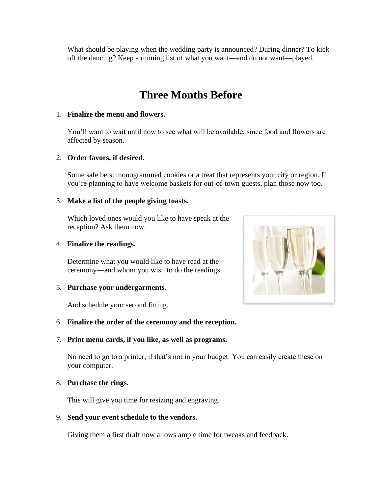What should be playing when the wedding party is announced? During dinner? To kick off the dancing? Keep a running list of what you want—and do not want—played.

# **Three Months Before**

## 1. **Finalize the menu and flowers.**

You'll want to wait until now to see what will be available, since food and flowers are affected by season.

## 2. **Order favors, if desired.**

Some safe bets: monogrammed cookies or a treat that represents your city or region. If you're planning to have welcome baskets for out-of-town guests, plan those now too.

## 3. **Make a list of the people giving toasts.**

Which loved ones would you like to have speak at the reception? Ask them now.

## 4. **Finalize the readings.**

Determine what you would like to have read at the ceremony—and whom you wish to do the readings.

## 5. **Purchase your undergarments.**

And schedule your second fitting.

## 6. **Finalize the order of the ceremony and the reception.**

## 7. **Print menu cards, if you like, as well as programs.**

No need to go to a printer, if that's not in your budget: You can easily create these on your computer.

## 8. **Purchase the rings.**

This will give you time for resizing and engraving.

## 9. **Send your event schedule to the vendors.**

Giving them a first draft now allows ample time for tweaks and feedback.

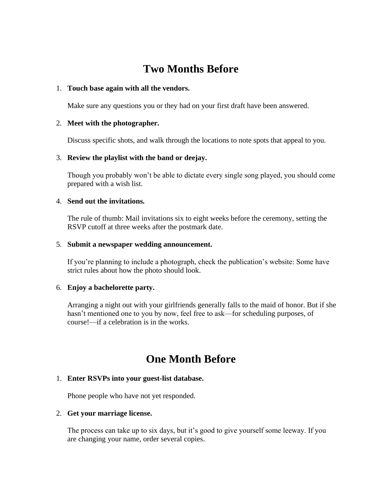# **Two Months Before**

#### 1. **Touch base again with all the vendors.**

Make sure any questions you or they had on your first draft have been answered.

#### 2. **Meet with the photographer.**

Discuss specific shots, and walk through the locations to note spots that appeal to you.

#### 3. **Review the playlist with the band or deejay.**

Though you probably won't be able to dictate every single song played, you should come prepared with a wish list.

#### 4. **Send out the invitations.**

The rule of thumb: Mail invitations six to eight weeks before the ceremony, setting the RSVP cutoff at three weeks after the postmark date.

#### 5. **Submit a newspaper wedding announcement.**

If you're planning to include a photograph, check the publication's website: Some have strict rules about how the photo should look.

## 6. **Enjoy a bachelorette party.**

Arranging a night out with your girlfriends generally falls to the maid of honor. But if she hasn't mentioned one to you by now, feel free to ask—for scheduling purposes, of course!—if a celebration is in the works.

## **One Month Before**

## 1. **Enter RSVPs into your guest-list database.**

Phone people who have not yet responded.

#### 2. **Get your marriage license.**

The process can take up to six days, but it's good to give yourself some leeway. If you are changing your name, order several copies.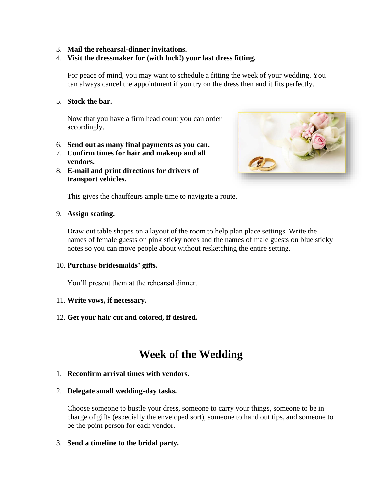## 3. **Mail the rehearsal-dinner invitations.**

## 4. **Visit the dressmaker for (with luck!) your last dress fitting.**

For peace of mind, you may want to schedule a fitting the week of your wedding. You can always cancel the appointment if you try on the dress then and it fits perfectly.

#### 5. **Stock the bar.**

Now that you have a firm head count you can order accordingly.

- 6. **Send out as many final payments as you can.**
- 7. **Confirm times for hair and makeup and all vendors.**
- 8. **E-mail and print directions for drivers of transport vehicles.**



This gives the chauffeurs ample time to navigate a route.

#### 9. **Assign seating.**

Draw out table shapes on a layout of the room to help plan place settings. Write the names of female guests on pink sticky notes and the names of male guests on blue sticky notes so you can move people about without resketching the entire setting.

## 10. **Purchase bridesmaids' gifts.**

You'll present them at the rehearsal dinner.

## 11. **Write vows, if necessary.**

12. **Get your hair cut and colored, if desired.** 

## **Week of the Wedding**

## 1. **Reconfirm arrival times with vendors.**

## 2. **Delegate small wedding-day tasks.**

Choose someone to bustle your dress, someone to carry your things, someone to be in charge of gifts (especially the enveloped sort), someone to hand out tips, and someone to be the point person for each vendor.

## 3. **Send a timeline to the bridal party.**